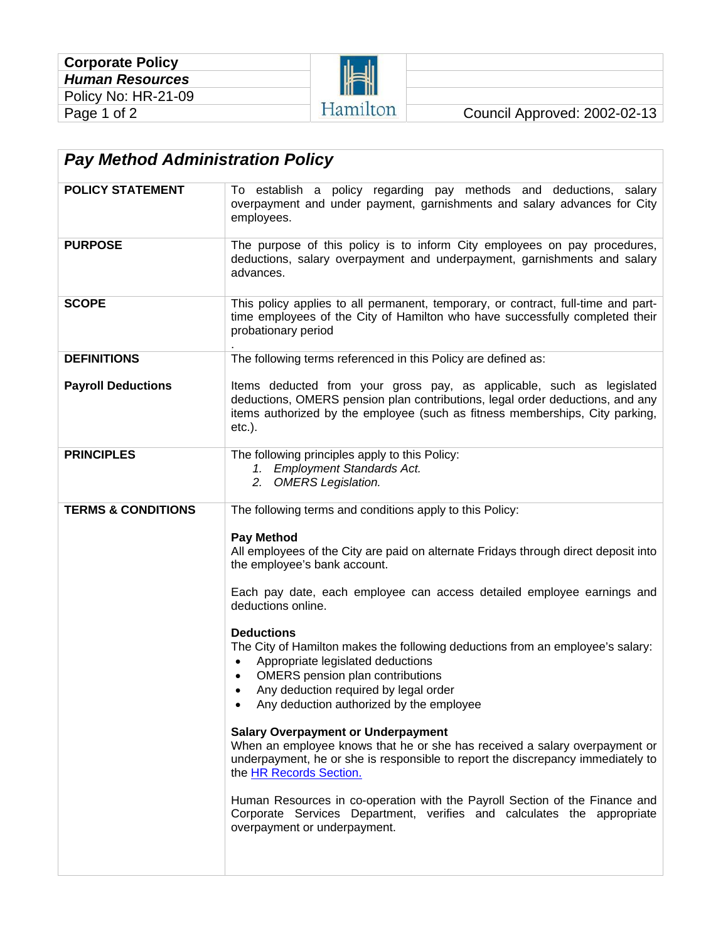| <b>Corporate Policy</b> |  |
|-------------------------|--|
| <b>Human Resources</b>  |  |
| Policy No: HR-21-09     |  |
| Page 1 of 2             |  |



| <b>POLICY STATEMENT</b>       | To establish a policy regarding pay methods and deductions, salary                                                                                                                                                                                                                                              |  |  |  |
|-------------------------------|-----------------------------------------------------------------------------------------------------------------------------------------------------------------------------------------------------------------------------------------------------------------------------------------------------------------|--|--|--|
|                               | overpayment and under payment, garnishments and salary advances for City<br>employees.                                                                                                                                                                                                                          |  |  |  |
| <b>PURPOSE</b>                | The purpose of this policy is to inform City employees on pay procedures,<br>deductions, salary overpayment and underpayment, garnishments and salary<br>advances.                                                                                                                                              |  |  |  |
| <b>SCOPE</b>                  | This policy applies to all permanent, temporary, or contract, full-time and part-<br>time employees of the City of Hamilton who have successfully completed their<br>probationary period                                                                                                                        |  |  |  |
| <b>DEFINITIONS</b>            | The following terms referenced in this Policy are defined as:                                                                                                                                                                                                                                                   |  |  |  |
| <b>Payroll Deductions</b>     | Items deducted from your gross pay, as applicable, such as legislated<br>deductions, OMERS pension plan contributions, legal order deductions, and any<br>items authorized by the employee (such as fitness memberships, City parking,<br>$etc.$ ).                                                             |  |  |  |
| <b>PRINCIPLES</b>             | The following principles apply to this Policy:<br>1. Employment Standards Act.<br>2. OMERS Legislation.                                                                                                                                                                                                         |  |  |  |
| <b>TERMS &amp; CONDITIONS</b> | The following terms and conditions apply to this Policy:                                                                                                                                                                                                                                                        |  |  |  |
|                               | <b>Pay Method</b><br>All employees of the City are paid on alternate Fridays through direct deposit into<br>the employee's bank account.                                                                                                                                                                        |  |  |  |
|                               | Each pay date, each employee can access detailed employee earnings and<br>deductions online.                                                                                                                                                                                                                    |  |  |  |
|                               | <b>Deductions</b><br>The City of Hamilton makes the following deductions from an employee's salary:<br>Appropriate legislated deductions<br>$\bullet$<br><b>OMERS</b> pension plan contributions<br>$\bullet$<br>Any deduction required by legal order<br>Any deduction authorized by the employee<br>$\bullet$ |  |  |  |
|                               | <b>Salary Overpayment or Underpayment</b><br>When an employee knows that he or she has received a salary overpayment or<br>underpayment, he or she is responsible to report the discrepancy immediately to<br>the HR Records Section.                                                                           |  |  |  |
|                               | Human Resources in co-operation with the Payroll Section of the Finance and<br>Corporate Services Department, verifies and calculates the appropriate<br>overpayment or underpayment.                                                                                                                           |  |  |  |